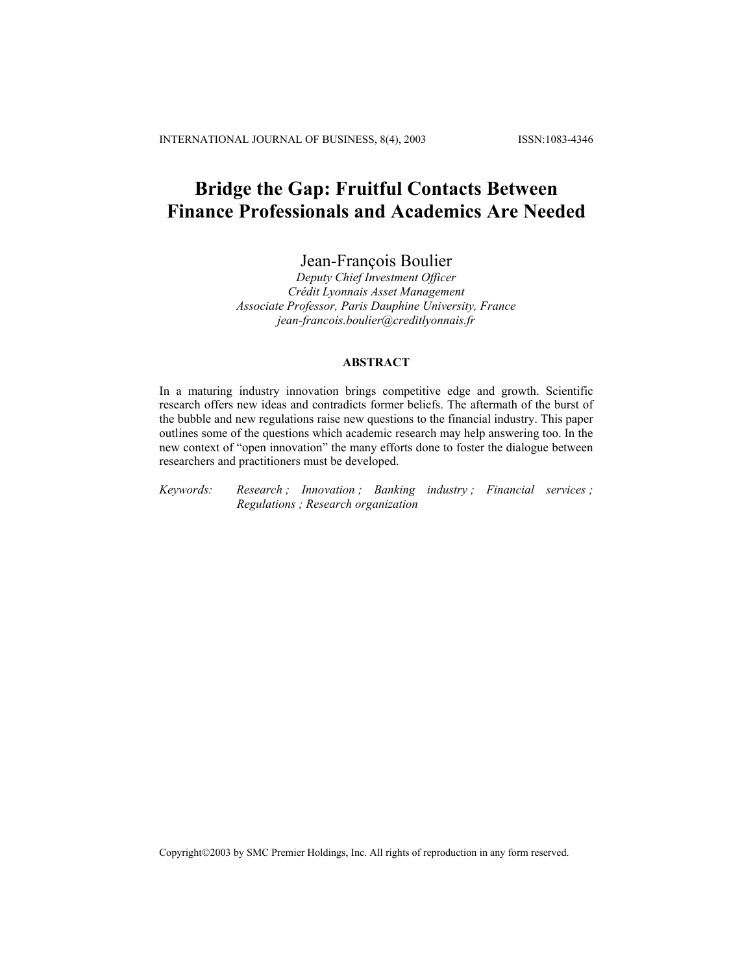# **Bridge the Gap: Fruitful Contacts Between Finance Professionals and Academics Are Needed**

Jean-François Boulier

*Deputy Chief Investment Officer Crédit Lyonnais Asset Management Associate Professor, Paris Dauphine University, France jean-francois.boulier@creditlyonnais.fr* 

#### **ABSTRACT**

In a maturing industry innovation brings competitive edge and growth. Scientific research offers new ideas and contradicts former beliefs. The aftermath of the burst of the bubble and new regulations raise new questions to the financial industry. This paper outlines some of the questions which academic research may help answering too. In the new context of "open innovation" the many efforts done to foster the dialogue between researchers and practitioners must be developed.

*Keywords: Research ; Innovation ; Banking industry ; Financial services ; Regulations ; Research organization*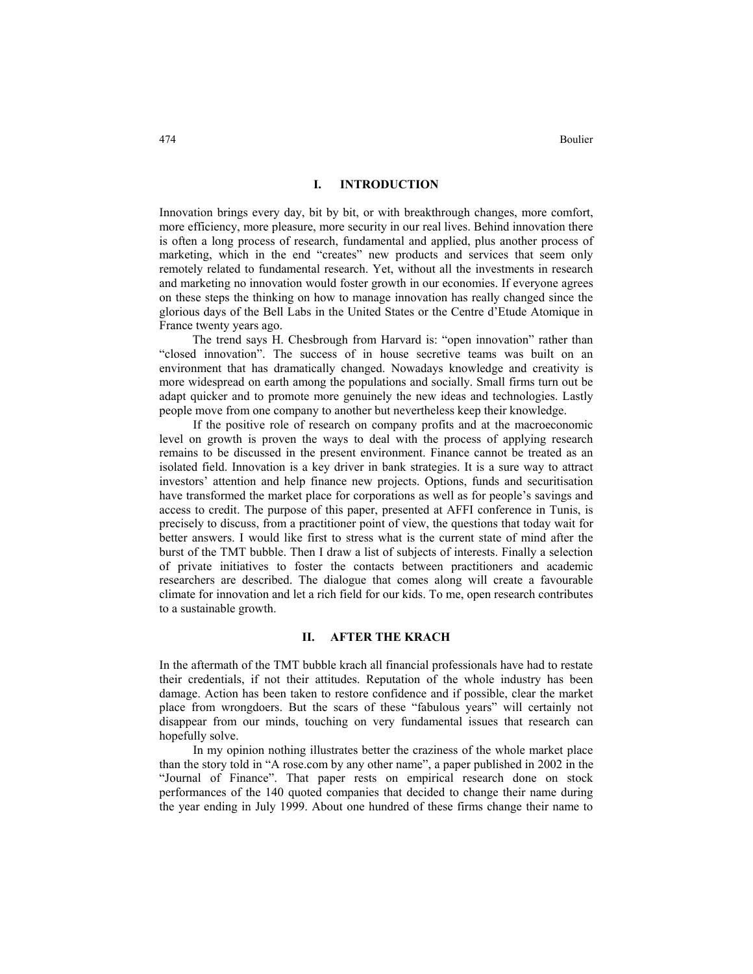474 Boulier

#### **I. INTRODUCTION**

Innovation brings every day, bit by bit, or with breakthrough changes, more comfort, more efficiency, more pleasure, more security in our real lives. Behind innovation there is often a long process of research, fundamental and applied, plus another process of marketing, which in the end "creates" new products and services that seem only remotely related to fundamental research. Yet, without all the investments in research and marketing no innovation would foster growth in our economies. If everyone agrees on these steps the thinking on how to manage innovation has really changed since the glorious days of the Bell Labs in the United States or the Centre d'Etude Atomique in France twenty years ago.

 The trend says H. Chesbrough from Harvard is: "open innovation" rather than "closed innovation". The success of in house secretive teams was built on an environment that has dramatically changed. Nowadays knowledge and creativity is more widespread on earth among the populations and socially. Small firms turn out be adapt quicker and to promote more genuinely the new ideas and technologies. Lastly people move from one company to another but nevertheless keep their knowledge.

If the positive role of research on company profits and at the macroeconomic level on growth is proven the ways to deal with the process of applying research remains to be discussed in the present environment. Finance cannot be treated as an isolated field. Innovation is a key driver in bank strategies. It is a sure way to attract investors' attention and help finance new projects. Options, funds and securitisation have transformed the market place for corporations as well as for people's savings and access to credit. The purpose of this paper, presented at AFFI conference in Tunis, is precisely to discuss, from a practitioner point of view, the questions that today wait for better answers. I would like first to stress what is the current state of mind after the burst of the TMT bubble. Then I draw a list of subjects of interests. Finally a selection of private initiatives to foster the contacts between practitioners and academic researchers are described. The dialogue that comes along will create a favourable climate for innovation and let a rich field for our kids. To me, open research contributes to a sustainable growth.

# **II. AFTER THE KRACH**

In the aftermath of the TMT bubble krach all financial professionals have had to restate their credentials, if not their attitudes. Reputation of the whole industry has been damage. Action has been taken to restore confidence and if possible, clear the market place from wrongdoers. But the scars of these "fabulous years" will certainly not disappear from our minds, touching on very fundamental issues that research can hopefully solve.

In my opinion nothing illustrates better the craziness of the whole market place than the story told in "A rose.com by any other name", a paper published in 2002 in the "Journal of Finance". That paper rests on empirical research done on stock performances of the 140 quoted companies that decided to change their name during the year ending in July 1999. About one hundred of these firms change their name to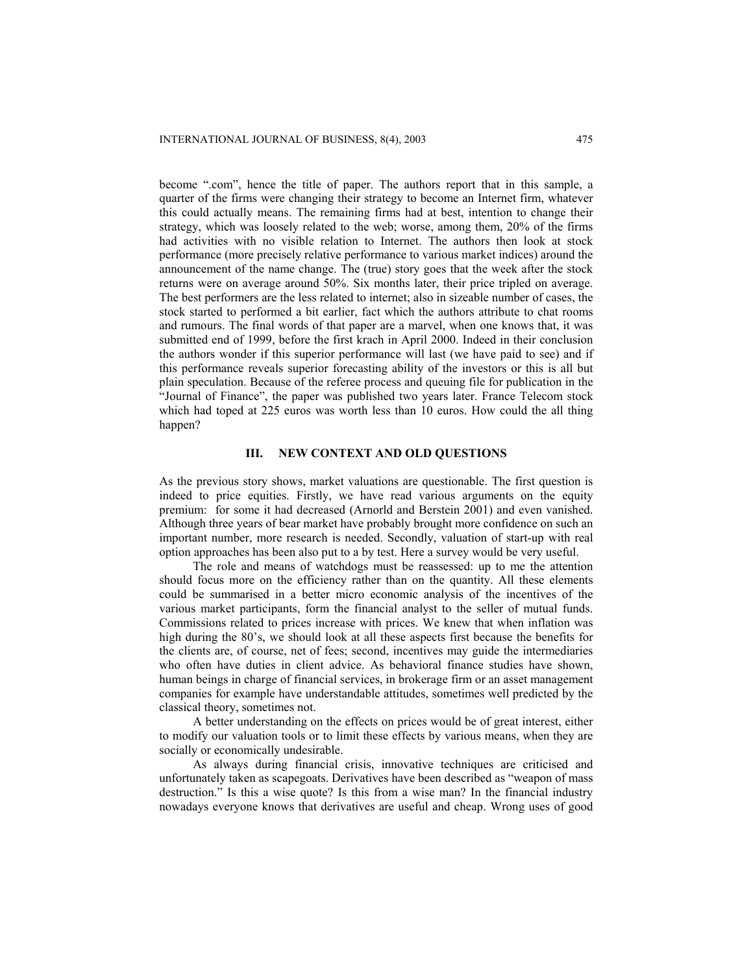become ".com", hence the title of paper. The authors report that in this sample, a quarter of the firms were changing their strategy to become an Internet firm, whatever this could actually means. The remaining firms had at best, intention to change their strategy, which was loosely related to the web; worse, among them, 20% of the firms had activities with no visible relation to Internet. The authors then look at stock performance (more precisely relative performance to various market indices) around the announcement of the name change. The (true) story goes that the week after the stock returns were on average around 50%. Six months later, their price tripled on average. The best performers are the less related to internet; also in sizeable number of cases, the stock started to performed a bit earlier, fact which the authors attribute to chat rooms and rumours. The final words of that paper are a marvel, when one knows that, it was submitted end of 1999, before the first krach in April 2000. Indeed in their conclusion the authors wonder if this superior performance will last (we have paid to see) and if this performance reveals superior forecasting ability of the investors or this is all but plain speculation. Because of the referee process and queuing file for publication in the "Journal of Finance", the paper was published two years later. France Telecom stock which had toped at 225 euros was worth less than 10 euros. How could the all thing happen?

#### **III. NEW CONTEXT AND OLD QUESTIONS**

As the previous story shows, market valuations are questionable. The first question is indeed to price equities. Firstly, we have read various arguments on the equity premium: for some it had decreased (Arnorld and Berstein 2001) and even vanished. Although three years of bear market have probably brought more confidence on such an important number, more research is needed. Secondly, valuation of start-up with real option approaches has been also put to a by test. Here a survey would be very useful.

The role and means of watchdogs must be reassessed: up to me the attention should focus more on the efficiency rather than on the quantity. All these elements could be summarised in a better micro economic analysis of the incentives of the various market participants, form the financial analyst to the seller of mutual funds. Commissions related to prices increase with prices. We knew that when inflation was high during the 80's, we should look at all these aspects first because the benefits for the clients are, of course, net of fees; second, incentives may guide the intermediaries who often have duties in client advice. As behavioral finance studies have shown, human beings in charge of financial services, in brokerage firm or an asset management companies for example have understandable attitudes, sometimes well predicted by the classical theory, sometimes not.

A better understanding on the effects on prices would be of great interest, either to modify our valuation tools or to limit these effects by various means, when they are socially or economically undesirable.

As always during financial crisis, innovative techniques are criticised and unfortunately taken as scapegoats. Derivatives have been described as "weapon of mass destruction." Is this a wise quote? Is this from a wise man? In the financial industry nowadays everyone knows that derivatives are useful and cheap. Wrong uses of good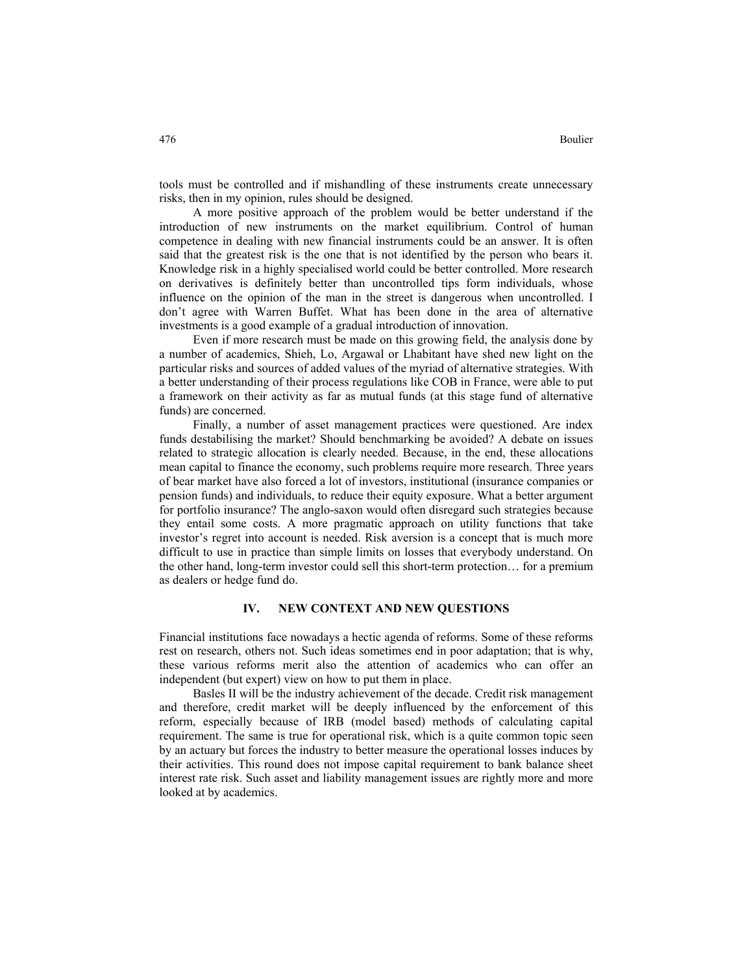tools must be controlled and if mishandling of these instruments create unnecessary risks, then in my opinion, rules should be designed.

A more positive approach of the problem would be better understand if the introduction of new instruments on the market equilibrium. Control of human competence in dealing with new financial instruments could be an answer. It is often said that the greatest risk is the one that is not identified by the person who bears it. Knowledge risk in a highly specialised world could be better controlled. More research on derivatives is definitely better than uncontrolled tips form individuals, whose influence on the opinion of the man in the street is dangerous when uncontrolled. I don't agree with Warren Buffet. What has been done in the area of alternative investments is a good example of a gradual introduction of innovation.

Even if more research must be made on this growing field, the analysis done by a number of academics, Shieh, Lo, Argawal or Lhabitant have shed new light on the particular risks and sources of added values of the myriad of alternative strategies. With a better understanding of their process regulations like COB in France, were able to put a framework on their activity as far as mutual funds (at this stage fund of alternative funds) are concerned.

 Finally, a number of asset management practices were questioned. Are index funds destabilising the market? Should benchmarking be avoided? A debate on issues related to strategic allocation is clearly needed. Because, in the end, these allocations mean capital to finance the economy, such problems require more research. Three years of bear market have also forced a lot of investors, institutional (insurance companies or pension funds) and individuals, to reduce their equity exposure. What a better argument for portfolio insurance? The anglo-saxon would often disregard such strategies because they entail some costs. A more pragmatic approach on utility functions that take investor's regret into account is needed. Risk aversion is a concept that is much more difficult to use in practice than simple limits on losses that everybody understand. On the other hand, long-term investor could sell this short-term protection… for a premium as dealers or hedge fund do.

# **IV. NEW CONTEXT AND NEW QUESTIONS**

Financial institutions face nowadays a hectic agenda of reforms. Some of these reforms rest on research, others not. Such ideas sometimes end in poor adaptation; that is why, these various reforms merit also the attention of academics who can offer an independent (but expert) view on how to put them in place.

Basles II will be the industry achievement of the decade. Credit risk management and therefore, credit market will be deeply influenced by the enforcement of this reform, especially because of IRB (model based) methods of calculating capital requirement. The same is true for operational risk, which is a quite common topic seen by an actuary but forces the industry to better measure the operational losses induces by their activities. This round does not impose capital requirement to bank balance sheet interest rate risk. Such asset and liability management issues are rightly more and more looked at by academics.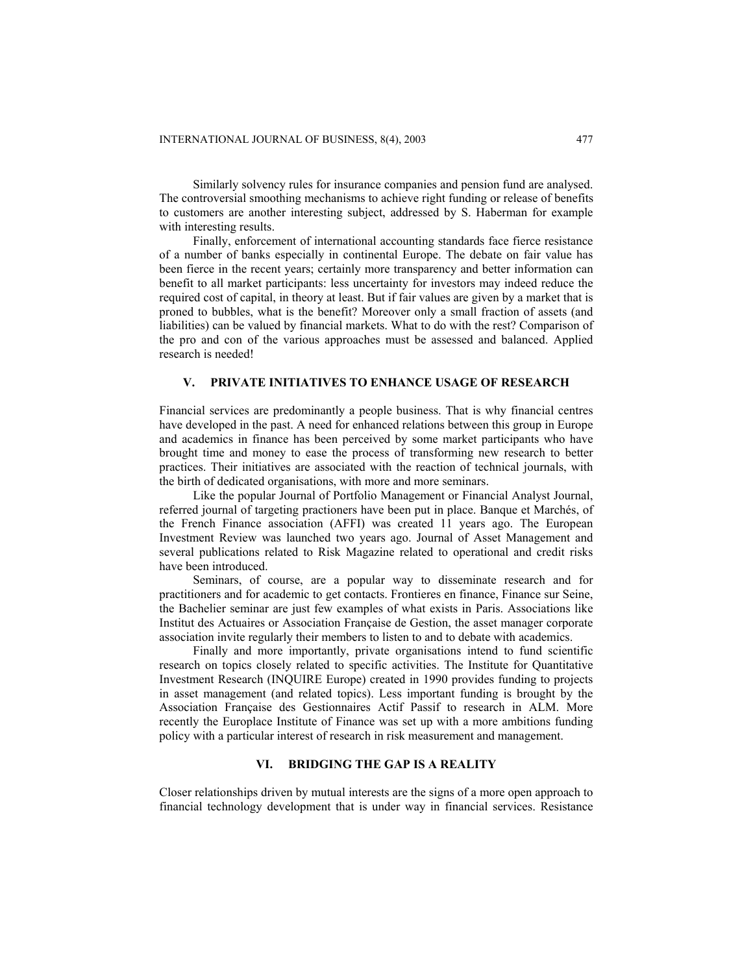Similarly solvency rules for insurance companies and pension fund are analysed. The controversial smoothing mechanisms to achieve right funding or release of benefits to customers are another interesting subject, addressed by S. Haberman for example with interesting results.

Finally, enforcement of international accounting standards face fierce resistance of a number of banks especially in continental Europe. The debate on fair value has been fierce in the recent years; certainly more transparency and better information can benefit to all market participants: less uncertainty for investors may indeed reduce the required cost of capital, in theory at least. But if fair values are given by a market that is proned to bubbles, what is the benefit? Moreover only a small fraction of assets (and liabilities) can be valued by financial markets. What to do with the rest? Comparison of the pro and con of the various approaches must be assessed and balanced. Applied research is needed!

# **V. PRIVATE INITIATIVES TO ENHANCE USAGE OF RESEARCH**

Financial services are predominantly a people business. That is why financial centres have developed in the past. A need for enhanced relations between this group in Europe and academics in finance has been perceived by some market participants who have brought time and money to ease the process of transforming new research to better practices. Their initiatives are associated with the reaction of technical journals, with the birth of dedicated organisations, with more and more seminars.

Like the popular Journal of Portfolio Management or Financial Analyst Journal, referred journal of targeting practioners have been put in place. Banque et Marchés, of the French Finance association (AFFI) was created 11 years ago. The European Investment Review was launched two years ago. Journal of Asset Management and several publications related to Risk Magazine related to operational and credit risks have been introduced.

Seminars, of course, are a popular way to disseminate research and for practitioners and for academic to get contacts. Frontieres en finance, Finance sur Seine, the Bachelier seminar are just few examples of what exists in Paris. Associations like Institut des Actuaires or Association Française de Gestion, the asset manager corporate association invite regularly their members to listen to and to debate with academics.

Finally and more importantly, private organisations intend to fund scientific research on topics closely related to specific activities. The Institute for Quantitative Investment Research (INQUIRE Europe) created in 1990 provides funding to projects in asset management (and related topics). Less important funding is brought by the Association Française des Gestionnaires Actif Passif to research in ALM. More recently the Europlace Institute of Finance was set up with a more ambitions funding policy with a particular interest of research in risk measurement and management.

# **VI. BRIDGING THE GAP IS A REALITY**

Closer relationships driven by mutual interests are the signs of a more open approach to financial technology development that is under way in financial services. Resistance